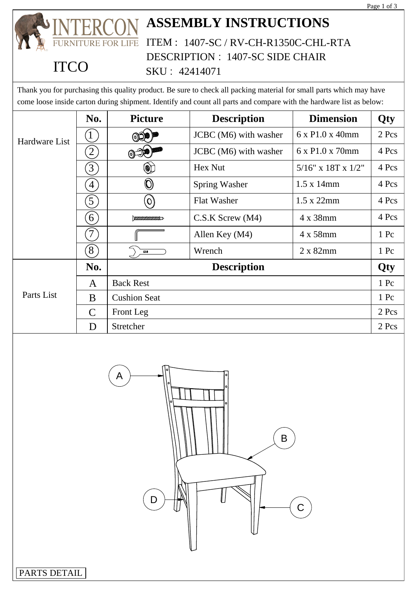

### **ASSEMBLY INSTRUCTIONS** ITEM : 1407-SC / RV-CH-R1350C-CHL-RTA LIFE DESCRIPTION : 1407-SC SIDE CHAIR

| <b>ITCC</b>   |                  | DESCRIPTION: 1407-SC SIDE CHAIR<br>SKU: 42414071 |                                                                                                                                                                                                                                            |                              |            |
|---------------|------------------|--------------------------------------------------|--------------------------------------------------------------------------------------------------------------------------------------------------------------------------------------------------------------------------------------------|------------------------------|------------|
|               |                  |                                                  | Thank you for purchasing this quality product. Be sure to check all packing material for small parts which may have<br>come loose inside carton during shipment. Identify and count all parts and compare with the hardware list as below: |                              |            |
|               | No.              | <b>Picture</b>                                   | <b>Description</b>                                                                                                                                                                                                                         | <b>Dimension</b>             | <b>Qty</b> |
| Hardware List |                  |                                                  | JCBC (M6) with washer                                                                                                                                                                                                                      | $6 \times P1.0 \times 40$ mm | $2$ Pcs    |
|               | $\left[2\right]$ | $\circledcirc \mathbb{R}$                        | JCBC (M6) with washer                                                                                                                                                                                                                      | 6 x P1.0 x 70mm              | 4 Pcs      |
|               | $\left(3\right)$ |                                                  | Hex Nut                                                                                                                                                                                                                                    | $5/16$ " x 18T x 1/2"        | 4 Pcs      |
|               | $\left(4\right)$ | $\textcircled{\small{0}}$                        | <b>Spring Washer</b>                                                                                                                                                                                                                       | $1.5 \times 14$ mm           | 4 Pcs      |
|               | $\left(5\right)$ | $\mathcal{S}(\mathcal{O})$                       | Flat Washer                                                                                                                                                                                                                                | $1.5 \times 22$ mm           | 4 Pcs      |
|               | $\left(6\right)$ | $\mu$ <i>mmmmm</i>                               | $C.S.K$ Screw $(M4)$                                                                                                                                                                                                                       | 4 x 38mm                     | 4 Pcs      |
|               | $\overline{7}$   |                                                  | Allen Key (M4)                                                                                                                                                                                                                             | 4 x 58mm                     | 1 Pc       |
|               | (8)              | 12.8                                             | Wrench                                                                                                                                                                                                                                     | 2 x 82mm                     | 1 Pc       |
| Parts List    | No.              | <b>Description</b>                               |                                                                                                                                                                                                                                            |                              | Qty        |
|               | A                | <b>Back Rest</b>                                 |                                                                                                                                                                                                                                            |                              | 1 Pc       |
|               | B                | <b>Cushion Seat</b>                              |                                                                                                                                                                                                                                            |                              | $1$ Pc     |
|               | $\mathcal{C}$    | Front Leg                                        |                                                                                                                                                                                                                                            |                              | 2 Pcs      |
|               | D                | Stretcher                                        |                                                                                                                                                                                                                                            |                              | 2 Pcs      |



PARTS DETAIL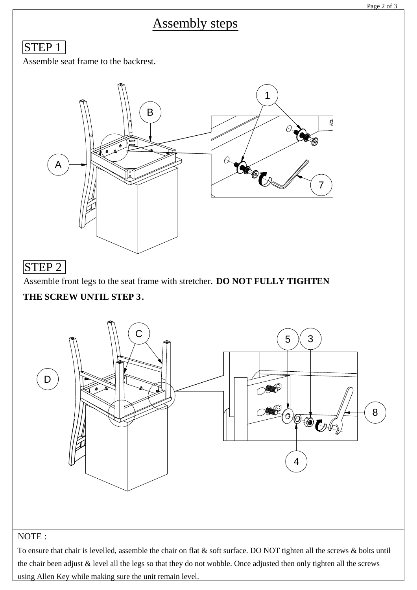# Assembly steps

## STEP<sub>1</sub>

Assemble seat frame to the backrest.



## STEP 2

Assemble front legs to the seat frame with stretcher. **DO NOT FULLY TIGHTEN**

### **THE SCREW UNTIL STEP 3.**



### NOTE :

To ensure that chair is levelled, assemble the chair on flat & soft surface. DO NOT tighten all the screws & bolts until the chair been adjust & level all the legs so that they do not wobble. Once adjusted then only tighten all the screws using Allen Key while making sure the unit remain level.